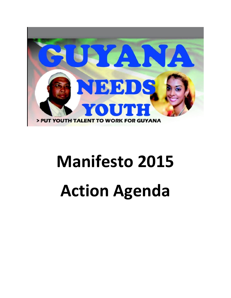

# **Manifesto 2015 Action Agenda**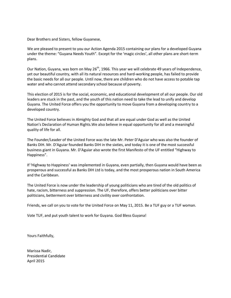Dear Brothers and Sisters, fellow Guyanese,

We are pleased to present to you our Action Agenda 2015 containing our plans for a developed Guyana under the theme: "Guyana Needs Youth". Except for the 'magic circles', all other plans are short-term plans.

Our Nation, Guyana, was born on May 26<sup>th</sup>, 1966. This year we will celebrate 49 years of Independence, yet our beautiful country, with all its natural resources and hard-working people, has failed to provide the basic needs for all our people. Until now, there are children who do not have access to potable tap water and who cannot attend secondary school because of poverty.

This election of 2015 is for the social, economic, and educational development of all our people. Our old leaders are stuck in the past, and the youth of this nation need to take the lead to unify and develop Guyana. The United Force offers you the opportunity to move Guyana from a developing country to a developed country.

The United Force believes in Almighty God and that all are equal under God as well as the United Nation's Declaration of Human Rights.We also believe in equal opportunity for all and a meaningful quality of life for all.

The Founder/Leader of the United Force was the late Mr. Peter D'Aguiar who was also the founder of Banks DIH. Mr. D'Aguiar founded Banks DIH in the sixties, and today it is one of the most successful business giant in Guyana. Mr. D'Aguiar also wrote the first Manifesto of the UF entitled "Highway to Happiness".

If 'Highway to Happiness' was implemented in Guyana, even partially, then Guyana would have been as prosperous and successful as Banks DIH Ltd is today, and the most prosperous nation in South America and the Caribbean.

The United Force is now under the leadership of young politicians who are tired of the old politics of hate, racism, bitterness and suppression. The UF, therefore, offers better politicians over bitter politicians, betterment over bitterness and civility over confrontation.

Friends, we call on you to vote for the United Force on May 11, 2015. Be a TUF guy or a TUF woman.

Vote TUF, and put youth talent to work for Guyana. God Bless Guyana!

Yours Faithfully,

Marissa Nadir, Presidential Candidate April 2015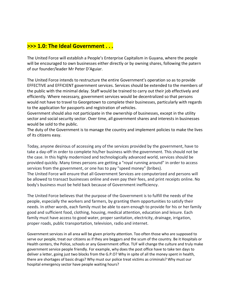## **>>> 1.0: The Ideal Government . . .**

The United Force will establish a People's Enterprise Capitalism in Guyana, where the people will be encouraged to own businesses either directly or by owning shares, following the patern of our founder/leader Mr Peter D'Aguiar.

The United Force intends to restructure the entire Government's operation so as to provide EFFECTIVE and EFFICIENT government services. Services should be extended to the members of the public with the minimal delay. Staff would be trained to carry out their job effectively and efficiently. Where necessary, government services would be decentralized so that persons would not have to travel to Georgetown to complete their businesses, particularly with regards to the application for passports and registration of vehicles.

Government should also not participate in the ownership of businesses, except in the utility sector and social security sector. Over time, all government shares and interests in businesses would be sold to the public.

The duty of the Government is to manage the country and implement policies to make the lives of its citizens easy.

Today, anyone desirous of accessing any of the services provided by the government, have to take a day-off in order to complete his/her business with the government. This should not be the case. In this highly modernized and technologically advanced world, services should be provided quickly. Many times persons are getting a "royal running around" in order to access services from the government, or one has to pay "speed money" (bribes). The United Force will ensure that all Government Services are computerized and persons will be allowed to transact businesses online and even pay their fees, and print receipts online. No body's business must be held back because of Government inefficiency.

The United Force believes that the purpose of the Government is to fulfill the needs of the people, especially the workers and farmers, by granting them opportunities to satisfy their needs. In other words, each family must be able to earn enough to provide for his or her family good and sufficient food, clothing, housing, medical attention, education and leisure. Each family must have access to good water, proper sanitation, electricity, drainage, irrigation, proper roads, public transportation, television, radio and internet.

Government services in all area will be given priority attention. Too often those who are supposed to serve our people, treat our citizens as if they are beggars and the scum of the country. Be it Hospitals or Health centers, the Police, schools or any Government office. TUF will change the culture and truly make government service people friendly. For example, why does the post office have to take ten days to deliver a letter, going just two blocks from the G.P.O? Why in spite of all the money spent in health, there are shortages of basic drugs? Why must our police treat victims as criminals? Why must our hospital emergency sector have people waiting hours?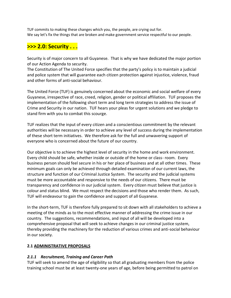TUF commits to making these changes which you, the people, are crying out for. We say let's fix the things that are broken and make government service respectful to our people.

# **>>> 2.0: Security . . .**

Security is of major concern to all Guyanese. That is why we have dedicated the major portion of our Action Agenda to security.

The Constitution of The United Force specifies that the party's policy is to maintain a judicial and police system that will guarantee each citizen protection against injustice, violence, fraud and other forms of anti-social behaviour.

The United Force (TUF) is genuinely concerned about the economic and social welfare of every Guyanese, irrespective of race, creed, religion, gender or political affiliation. TUF proposes the implementation of the following short term and long term strategies to address the issue of Crime and Security in our nation. TUF hears your pleas for urgent solutions and we pledge to stand firm with you to combat this scourge.

TUF realizes that the input of every citizen and a conscientious commitment by the relevant authorities will be necessary in order to achieve any level of success during the implementation of these short term initiatives. We therefore ask for the full and unwavering support of everyone who is concerned about the future of our country.

Our objective is to achieve the highest level of security in the home and work environment. Every child should be safe, whether inside or outside of the home or class- room. Every business person should feel secure in his or her place of business and at all other times. These minimum goals can only be achieved through detailed examination of our current laws, the structure and function of our Criminal Justice System. The security and the judicial systems must be more accountable and responsive to the needs of our citizens. There must be transparency and confidence in our judicial system. Every citizen must believe that justice is colour and status blind. We must respect the decisions and those who render them. As such, TUF will endeavour to gain the confidence and support of all Guyanese.

In the short-term, TUF is therefore fully prepared to sit down with all stakeholders to achieve a meeting of the minds as to the most effective manner of addressing the crime issue in our country. The suggestions, recommendations, and input of all will be developed into a comprehensive proposal that will seek to achieve changes in our criminal justice system, thereby providing the machinery for the reduction of various crimes and anti-social behaviour in our society.

#### **2.1 ADMINISTRATIVE PROPOSALS**

#### *2.1.1 Recruitment, Training and Career Path*

TUF will seek to amend the age of eligibility so that all graduating members from the police training school must be at least twenty-one years of age, before being permitted to patrol on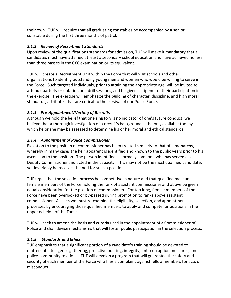their own. TUF will require that all graduating constables be accompanied by a senior constable during the first three months of patrol.

#### *2.1.2 Review of Recruitment Standards*

Upon review of the qualifications standards for admission, TUF will make it mandatory that all candidates must have attained at least a secondary school education and have achieved no less than three passes in the CXC examination or its equivalent.

TUF will create a Recruitment Unit within the Force that will visit schools and other organizations to identify outstanding young men and women who would be willing to serve in the Force. Such targeted individuals, prior to attaining the appropriate age, will be invited to attend quarterly orientation and drill sessions, and be given a stipend for their participation in the exercise. The exercise will emphasize the building of character, discipline, and high moral standards, attributes that are critical to the survival of our Police Force.

#### *2.1.3 Pre-Appointment/Vetting of Recruits*

Although we hold the belief that one's history is no indicator of one's future conduct, we believe that a thorough investigation of a recruit's background is the only available tool by which he or she may be assessed to determine his or her moral and ethical standards.

#### *2.1.4 Appointment of Police Commissioner*

Elevation to the position of commissioner has been treated similarly to that of a monarchy, whereby in many cases the heir apparent is identified and known to the public years prior to his ascension to the position. The person identified is normally someone who has served as a Deputy Commissioner and acted in the capacity. This may not be the most qualified candidate, yet invariably he receives the nod for such a position.

TUF urges that the selection process be competitive in nature and that qualified male and female members of the Force holding the rank of assistant commissioner and above be given equal consideration for the position of commissioner. For too long, female members of the Force have been overlooked or by-passed during promotion to ranks above assistant commissioner. As such we must re-examine the eligibility, selection, and appointment processes by encouraging those qualified members to apply and compete for positions in the upper echelon of the Force.

TUF will seek to amend the basis and criteria used in the appointment of a Commissioner of Police and shall devise mechanisms that will foster public participation in the selection process.

#### *2.1.5 Standards and Ethics*

TUF emphasizes that a significant portion of a candidate's training should be devoted to matters of intelligence gathering, proactive policing, integrity, anti-corruption measures, and police-community relations. TUF will develop a program that will guarantee the safety and security of each member of the Force who files a complaint against fellow members for acts of misconduct.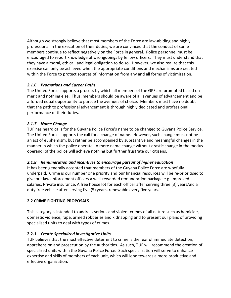Although we strongly believe that most members of the Force are law-abiding and highly professional in the execution of their duties, we are convinced that the conduct of some members continue to reflect negatively on the Force in general. Police personnel must be encouraged to report knowledge of wrongdoings by fellow officers. They must understand that they have a moral, ethical, and legal obligation to do so. However, we also realize that this exercise can only be achieved when the appropriate conditions and mechanisms are created within the Force to protect sources of information from any and all forms of victimization.

#### *2.1.6 Promotions and Career Paths*

The United Force supports a process by which all members of the GPF are promoted based on merit and nothing else. Thus, members should be aware of all avenues of advancement and be afforded equal opportunity to pursue the avenues of choice. Members must have no doubt that the path to professional advancement is through highly dedicated and professional performance of their duties.

#### *2.1.7 Name Change*

TUF has heard calls for the Guyana Police Force's name to be changed to Guyana Police Service. The United Force supports the call for a change of name. However, such change must not be an act of euphemism, but rather be accompanied by substantive and meaningful changes in the manner in which the police operate. A mere name change without drastic change in the modus operandi of the police will achieve nothing but further frustrate our citizens.

#### *2.1.8 Remuneration and incentives to encourage pursuit of higher education*

It has been generally accepted that members of the Guyana Police Force are woefully underpaid. Crime is our number one priority and our financial resources will be re-prioritised to give our law enforcement officers a well-rewarded remuneration package e.g. Improved salaries, Private insurance, A free house lot for each officer after serving three (3) yearsAnd a duty free vehicle after serving five (5) years, renewable every five years.

#### **2.2 CRIME FIGHTING PROPOSALS**

This category is intended to address serious and violent crimes of all nature such as homicide, domestic violence, rape, armed robberies and kidnapping and to present our plans of providing specialised units to deal with types of crimes.

#### **2.2.1** *Create Specialized Investigative Units*

TUF believes that the most effective deterrent to crime is the fear of immediate detection, apprehension and prosecution by the authorities. As such, TUF will recommend the creation of specialized units within the Guyana Police Force. Such specialization will serve to enhance expertise and skills of members of each unit, which will lend towards a more productive and effective organization.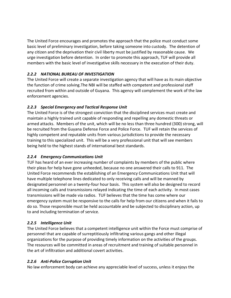The United Force encourages and promotes the approach that the police must conduct some basic level of preliminary investigation, before taking someone into custody. The detention of any citizen and the deprivation their civil liberty must be justified by reasonable cause. We urge investigation before detention. In order to promote this approach, TUF will provide all members with the basic level of investigative skills necessary in the execution of their duty.

#### *2.2.2 NATIONAL BUREAU OF INVESTIGATION*

The United Force will create a separate investigation agency that will have as its main objective the function of crime solving.The NBI will be staffed with competent and professional staff recruited from within and outside of Guyana. This agency will complement the work of the law enforcement agencies.

#### *2.2.3 Special Emergency and Tactical Response Unit*

The United Force is of the strongest conviction that the disciplined services must create and maintain a highly trained unit capable of responding and repelling any domestic threats or armed attacks. Members of the unit, which will be no less than three hundred (300) strong, will be recruited from the Guyana Defense Force and Police Force. TUF will retain the services of highly competent and reputable units from various jurisdictions to provide the necessary training to this specialized unit. This will be a very professional unit that will see members being held to the highest stands of international best standards.

#### *2.2.4 Emergency Communications Unit*

TUF has heard of an ever increasing number of complaints by members of the public where their pleas for help have gone unheeded, because no one answered their calls to 911. The United Force recommends the establishing of an Emergency Communications Unit that will have multiple telephone lines dedicated to only receiving calls and will be manned by designated personnel on a twenty-four hour basis. This system will also be designed to record all incoming calls and transmissions relayed indicating the time of each activity. In most cases transmissions will be made via radios. TUF believes that the time has come where our emergency system must be responsive to the calls for help from our citizens and when it fails to do so. Those responsible must be held accountable and be subjected to disciplinary action, up to and including termination of service.

#### *2.2.5 Intelligence Unit*

The United Force believes that a competent intelligence unit within the Force must comprise of personnel that are capable of surreptitiously infiltrating various gangs and other illegal organizations for the purpose of providing timely information on the activities of the groups. The resources will be committed in areas of recruitment and training of suitable personnel in the art of infiltration and additional covert activities.

#### *2.2.6 Anti-Police Corruption Unit*

No law enforcement body can achieve any appreciable level of success, unless it enjoys the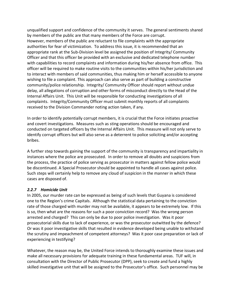unqualified support and confidence of the community it serves. The general sentiments shared by members of the public are that many members of the Force are corrupt. However, members of the public are reluctant to file complaints with the appropriate authorities for fear of victimization. To address this issue, it is recommended that an appropriate rank at the Sub-Division level be assigned the position of Integrity/ Community Officer and that this officer be provided with an exclusive and dedicated telephone number with capabilities to record complaints and information during his/her absence from office. This officer will be required to make routine visits to the communities within his/her jurisdiction and to interact with members of said communities, thus making him or herself accessible to anyone wishing to file a complaint. This approach can also serve as part of building a constructive community/police relationship. Integrity/ Community Officer should report without undue delay, all allegations of corruption and other forms of misconduct directly to the Head of the Internal Affairs Unit. This Unit will be responsible for conducting investigations of all complaints. Integrity/Community Officer must submit monthly reports of all complaints received to the Division Commander noting action taken, if any.

In order to identify potentially corrupt members, it is crucial that the Force initiates proactive and covert investigations. Measures such as sting operations should be encouraged and conducted on targeted officers by the Internal Affairs Unit. This measure will not only serve to identify corrupt officers but will also serve as a deterrent to police soliciting and/or accepting bribes.

A further step towards gaining the support of the community is transparency and impartiality in instances where the police are prosecuted. In order to remove all doubts and suspicions from the process, the practice of police serving as prosecutor in matters against fellow police would be discontinued. A Special Prosecutor should be appointed to handle all cases against police. Such steps will certainly help to remove any cloud of suspicion in the manner in which these cases are disposed of.

#### *2.2.7 Homicide Unit*

In 2005, our murder rate can be expressed as being of such levels that Guyana is considered one to the Region's crime Capitals. Although the statistical data pertaining to the conviction rate of those charged with murder may not be available, it appears to be extremely low. If this is so, then what are the reasons for such a poor conviction record? Was the wrong person arrested and charged? This can only be due to poor police investigation. Was it poor prosecutorial skills due to lack of experience, or was the prosecutor outwitted by the defence? Or was it poor investigative skills that resulted in evidence developed being unable to withstand the scrutiny and impeachment of competent attorneys? Was it poor case preparation or lack of experiencing in testifying?

Whatever, the reason may be, the United Force intends to thoroughly examine these issues and make all necessary provisions for adequate training in these fundamental areas. TUF will, in consultation with the Director of Public Prosecutor (DPP), seek to create and fund a highly skilled investigative unit that will be assigned to the Prosecutor's office. Such personnel may be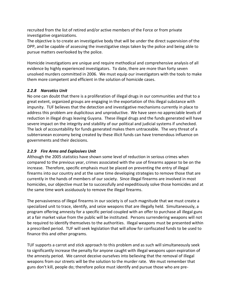recruited from the list of retired and/or active members of the Force or from private investigative organizations.

The objective is to create an investigative body that will be under the direct supervision of the DPP, and be capable of assessing the investigative steps taken by the police and being able to pursue matters overlooked by the police.

Homicide investigations are unique and require methodical and comprehensive analysis of all evidence by highly experienced investigators. To date, there are more than forty seven unsolved murders committed in 2006. We must equip our investigators with the tools to make them more competent and efficient in the solution of homicide cases.

#### *2.2.8 Narcotics Unit*

No one can doubt that there is a proliferation of illegal drugs in our communities and that to a great extent, organized groups are engaging in the exportation of this illegal substance with impunity. TUF believes that the detection and investigative mechanisms currently in place to address this problem are duplicitous and unproductive. We have seen no appreciable levels of reduction in illegal drugs leaving Guyana. These illegal drugs and the funds generated will have severe impact on the integrity and stability of our political and judicial systems if unchecked. The lack of accountability for funds generated makes them untraceable. The very threat of a subterranean economy being created by these illicit funds can have tremendous influence on governments and their decisions.

#### *2.2.9 Fire Arms and Explosives Unit*

Although the 2005 statistics have shown some level of reduction in serious crimes when compared to the previous year, crimes associated with the use of firearms appear to be on the increase. Therefore, specific emphasis must be placed on preventing the entry of illegal firearms into our country and at the same time developing strategies to remove those that are currently in the hands of members of our society. Since illegal firearms are involved in most homicides, our objective must be to successfully and expeditiously solve those homicides and at the same time work assiduously to remove the illegal firearms.

The pervasiveness of illegal firearms in our society is of such magnitude that we must create a specialized unit to trace, identify, and seize weapons that are illegally held. Simultaneously, a program offering amnesty for a specific period coupled with an offer to purchase all illegal guns at a fair market value from the public will be instituted. Persons surrendering weapons will not be required to identify themselves to the authorities. Illegal weapons must be presented within a prescribed period. TUF will seek legislation that will allow for confiscated funds to be used to finance this and other programs.

TUF supports a carrot and stick approach to this problem and as such will simultaneously seek to significantly increase the penalty for anyone caught with illegal weapons upon expiration of the amnesty period. We cannot deceive ourselves into believing that the removal of illegal weapons from our streets will be the solution to the murder rate. We must remember that guns don't kill, people do; therefore police must identify and pursue those who are pre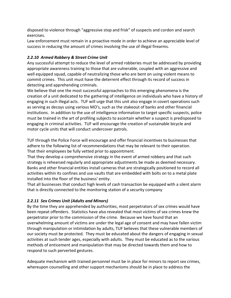disposed to violence through "aggressive stop and frisk" of suspects and cordon and search exercises.

Law enforcement must remain in a proactive mode in order to achieve an appreciable level of success in reducing the amount of crimes involving the use of illegal firearms.

#### *2.2.10 Armed Robbery & Street Crime Unit*

Any successful attempt to reduce the level of armed robberies must be addressed by providing appropriate awareness training to those that are vulnerable, coupled with an aggressive and well equipped squad, capable of neutralizing those who are bent on using violent means to commit crimes. This unit must have the deterrent effect through its record of success in detecting and apprehending criminals.

We believe that one the most successful approaches to this emerging phenomena is the creation of a unit dedicated to the gathering of intelligence on individuals who have a history of engaging in such illegal acts. TUF will urge that this unit also engage in covert operations such as serving as decoys using various MO's, such as the stakeout of banks and other financial institutions. In addition to the use of intelligence information to target specific suspects, police must be trained in the art of profiling subjects to ascertain whether a suspect is predisposed to engaging in criminal activities. TUF will encourage the creation of sustainable bicycle and motor cycle units that will conduct undercover patrols.

TUF through the Police Force will encourage and offer financial incentives to businesses that adhere to the following list of recommendations that may be relevant to their operation. That their employees be fully vetted prior to appointment.

That they develop a comprehensive strategy in the event of armed robbery and that such strategy is rehearsed regularly and appropriate adjustments be made as deemed necessary. Banks and other financial entities install cameras that are strategically positioned to record all activities within its confines and use vaults that are embedded with bolts on to a metal plate installed into the floor of the business' entity.

That all businesses that conduct high levels of cash transaction be equipped with a silent alarm that is directly connected to the monitoring station of a security company

#### *2.2.11 Sex Crimes Unit (Adults and Minors)*

By the time they are apprehended by authorities, most perpetrators of sex crimes would have been repeat offenders. Statistics have also revealed that most victims of sex crimes knew the perpetrator prior to the commission of the crime. Because we have found that an overwhelming amount of victims are under the legal age of consent and may have fallen victim through manipulation or intimidation by adults, TUF believes that these vulnerable members of our society must be protected. They must be educated about the dangers of engaging in sexual activities at such tender ages, especially with adults. They must be educated as to the various methods of enticement and manipulation that may be directed towards them and how to respond to such perverted gestures.

Adequate mechanism with trained personnel must be in place for minors to report sex crimes, whereupon counselling and other support mechanisms should be in place to address the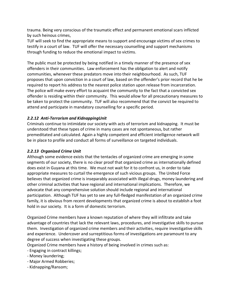trauma. Being very conscious of the traumatic effect and permanent emotional scars inflicted by such heinous crimes,

TUF will seek to find the appropriate means to support and encourage victims of sex crimes to testify in a court of law. TUF will offer the necessary counselling and support mechanisms through funding to reduce the emotional impact to victims.

The public must be protected by being notified in a timely manner of the presence of sex offenders in their communities. Law enforcement has the obligation to alert and notify communities, whenever these predators move into their neighbourhood. As such, TUF proposes that upon conviction in a court of law, based on the offender's prior record that he be required to report his address to the nearest police station upon release from incarceration. The police will make every effort to acquaint the community to the fact that a convicted sex offender is residing within their community. This would allow for all precautionary measures to be taken to protect the community. TUF will also recommend that the convict be required to attend and participate in mandatory counselling for a specific period.

#### *2.2.12 Anti-Terrorism and KidnappingUnit*

Criminals continue to intimidate our society with acts of terrorism and kidnapping. It must be understood that these types of crime in many cases are not spontaneous, but rather premeditated and calculated. Again a highly competent and efficient intelligence network will be in place to profile and conduct all forms of surveillance on targeted individuals.

#### *2.2.13 Organized Crime Unit*

Although some evidence exists that the tentacles of organized crime are emerging in some segments of our society, there is no clear proof that organized crime as internationally defined does exist in Guyana at this time. We must not wait for it to confront us, in order to take appropriate measures to curtail the emergence of such vicious groups. The United Force believes that organized crime is inseparably associated with illegal drugs, money laundering and other criminal activities that have regional and international implications. Therefore, we advocate that any comprehensive solution should include regional and international participation. Although TUF has yet to see any full-fledged manifestation of an organized crime family, it is obvious from recent developments that organized crime is about to establish a foot hold in our society. It is a form of domestic terrorism.

Organized Crime members have a known reputation of where they will infiltrate and take advantage of countries that lack the relevant laws, procedures, and investigative skills to pursue them. Investigation of organized crime members and their activities, require investigative skills and experience. Undercover and surreptitious forms of investigations are paramount to any degree of success when investigating these groups.

Organized Crime members have a history of being involved in crimes such as:

- Engaging in contract killings;
- Money laundering;
- Major Armed Robberies;
- Kidnapping/Ransom;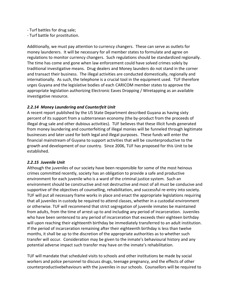- Turf battles for drug sale;
- Turf battle for prostitution.

Additionally, we must pay attention to currency changers. These can serve as outlets for money launderers. It will be necessary for all member states to formulate and agree on regulations to monitor currency changers. Such regulations should be standardized regionally. The time has come and gone when law enforcement could have solved crimes solely by traditional investigative means. Drug dealers and Money launders do not stand in the corner and transact their business. The illegal activities are conducted domestically, regionally and internationally. As such, the telephone is a crucial tool in the equipment used. TUF therefore urges Guyana and the legislative bodies of each CARICOM member states to approve the appropriate legislation authorizing Electronic Eaves Dropping / Wiretapping as an available investigative resource.

#### *2.2.14 Money Laundering and Counterfeit Unit*

A recent report published by the US State Department described Guyana as having sixty percent of its support from a subterranean economy (the by-product from the proceeds of illegal drug sale and other dubious activities). TUF believes that these illicit funds generated from money laundering and counterfeiting of illegal monies will be funneled through legitimate businesses and later used for both legal and illegal purposes. These funds will enter the financial mainstream of Guyana to support activities that will be counterproductive to the growth and development of our country. Since 2006, TUF has proposed for this Unit to be established.

#### *2.2.15 Juvenile Unit*

Although the juveniles of our society have been responsible for some of the most heinous crimes committed recently, society has an obligation to provide a safe and productive environment for each juvenile who is a ward of the criminal justice system. Such an environment should be constructive and not destructive and most of all must be conducive and supportive of the objectives of counselling, rehabilitation, and successful re-entry into society. TUF will put all necessary frame works in place and enact the appropriate legislations requiring that all juveniles in custody be required to attend classes, whether in a custodial environment or otherwise. TUF will recommend that strict segregation of juvenile inmates be maintained from adults, from the time of arrest up to and including any period of incarceration. Juveniles who have been sentenced to any period of incarceration that exceeds their eighteen birthday will upon reaching their eighteenth birthday be immediately transferred to an adult institution. If the period of incarceration remaining after their eighteenth birthday is less than twelve months, it shall be up to the discretion of the appropriate authorities as to whether such transfer will occur. Consideration may be given to the inmate's behavioural history and any potential adverse impact such transfer may have on the inmate's rehabilitation.

TUF will mandate that scheduled visits to schools and other institutions be made by social workers and police personnel to discuss drugs, teenage pregnancy, and the effects of other counterproductivebehaviours with the juveniles in our schools. Counsellors will be required to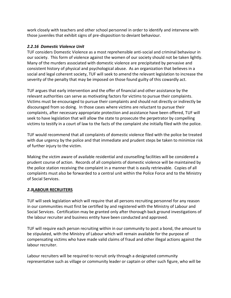work closely with teachers and other school personnel in order to identify and intervene with those juveniles that exhibit signs of pre-disposition to deviant behaviour.

#### *2.2.16 Domestic Violence Unit*

TUF considers Domestic Violence as a most reprehensible anti-social and criminal behaviour in our society. This form of violence against the women of our society should not be taken lightly. Many of the murders associated with domestic violence are precipitated by pervasive and consistent history of physical and psychological abuse. As an organization that believes in a social and legal coherent society, TUF will seek to amend the relevant legislation to increase the severity of the penalty that may be imposed on those found guilty of this cowardly act.

TUF argues that early intervention and the offer of financial and other assistance by the relevant authorities can serve as motivating factors for victims to pursue their complaints. Victims must be encouraged to pursue their complaints and should not directly or indirectly be discouraged from so doing. In those cases where victims are reluctant to pursue their complaints, after necessary appropriate protection and assistance have been offered, TUF will seek to have legislation that will allow the state to prosecute the perpetrator by compelling victims to testify in a court of law to the facts of the complaint she initially filed with the police.

TUF would recommend that all complaints of domestic violence filed with the police be treated with due urgency by the police and that immediate and prudent steps be taken to minimize risk of further injury to the victim.

Making the victim aware of available residential and counselling facilities will be considered a prudent course of action. Records of all complaints of domestic violence will be maintained by the police station receiving the complaint in a manner that is easily retrievable. Copies of all complaints must also be forwarded to a central unit within the Police Force and to the Ministry of Social Services.

#### *2.3***LABOUR RECRUITERS**

TUF will seek legislation which will require that all persons recruiting personnel for any reason in our communities must first be certified by and registered with the Ministry of Labour and Social Services. Certification may be granted only after thorough back ground investigations of the labour recruiter and business entity have been conducted and approved.

TUF will require each person recruiting within in our community to post a bond, the amount to be stipulated, with the Ministry of Labour which will remain available for the purpose of compensating victims who have made valid claims of fraud and other illegal actions against the labour recruiter.

Labour recruiters will be required to recruit only through a designated community representative such as village or community leader or captain or other such figure, who will be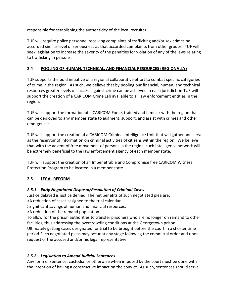responsible for establishing the authenticity of the local recruiter.

TUF will require police personnel receiving complaints of trafficking and/or sex crimes be accorded similar level of seriousness as that accorded complaints from other groups. TUF will seek legislation to increase the severity of the penalties for violation of any of the laws relating to trafficking in persons.

#### **2.4 POOLING OF HUMAN, TECHNICAL, AND FINANCIAL RESOURCES (REGIONALLY)**

TUF supports the bold initiative of a regional collaborative effort to combat specific categories of crime in the region. As such, we believe that by pooling our financial, human, and technical resources greater levels of success against crime can be achieved in each jurisdiction.TUF will support the creation of a CARICOM Crime Lab available to all law enforcement entities in the region.

TUF will support the formation of a CARICOM Force, trained and familiar with the region that can be deployed to any member state to augment, support, and assist with crimes and other emergencies.

TUF will support the creation of a CARICOM Criminal Intelligence Unit that will gather and serve as the reservoir of information on criminal activities of citizens within the region. We believe that with the advent of free movement of persons in the region, such intelligence network will be extremely beneficial to the law enforcement agency of each member state.

TUF will support the creation of an Impenetrable and Compromise free CARICOM Witness Protection Program to be located in a member state.

#### **2.5 LEGAL REFORM**

#### *2.5.1 Early Negotiated Disposal/Resolution of Criminal Cases*

Justice delayed is justice denied. The net benefits of such negotiated plea are:

>A reduction of cases assigned to the trial calendar.

>Significant savings of human and financial resources.

>A reduction of the remand population.

To allow for the prison authorities to transfer prisoners who are no longer on remand to other facilities, thus addressing the overcrowding conditions at the Georgetown prison.

Ultimately getting cases designated for trial to be brought before the court in a shorter time period.Such negotiated pleas may occur at any stage following the committal order and upon request of the accused and/or his legal representative.

#### *2.5.2 Legislation to Amend Judicial Sentences*

Any form of sentence, custodial or otherwise when imposed by the court must be done with the intention of having a constructive impact on the convict. As such, sentences should serve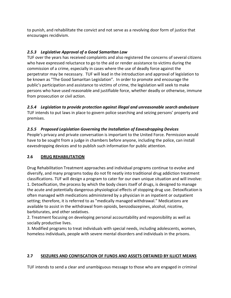to punish, and rehabilitate the convict and not serve as a revolving door form of justice that encourages recidivism.

#### *2.5.3 Legislative Approval of a Good Samaritan Law*

TUF over the years has received complaints and also registered the concerns of several citizens who have expressed reluctance to go to the aid or render assistance to victims during the commission of a crime, especially in cases where the use of deadly force against the perpetrator may be necessary. TUF will lead in the introduction and approval of legislation to be known as "The Good Samaritan Legislation". In order to promote and encourage the public's participation and assistance to victims of crime, the legislation will seek to make persons who have used reasonable and justifiable force, whether deadly or otherwise, immune from prosecution or civil action.

#### *2.5.4 Legislation to provide protection against illegal and unreasonable search andseizure*

TUF intends to put laws in place to govern police searching and seizing persons' property and premises.

#### *2.5.5 Proposed Legislation Governing the Installation of Eavesdropping Devices*

People's privacy and private conversation is important to the United Force. Permission would have to be sought from a judge in chambers before anyone, including the police, can install eavesdropping devices and to publish such information for public attention.

#### **2.6 DRUG REHABILITATION**

Drug Rehabilitation Treatment approaches and individual programs continue to evolve and diversify, and many programs today do not fit neatly into traditional drug addiction treatment classifications. TUF will design a program to cater for our own unique situation and will involve: 1. Detoxification, the process by which the body clears itself of drugs, is designed to manage the acute and potentially dangerous physiological effects of stopping drug use. Detoxification is often managed with medications administered by a physician in an inpatient or outpatient setting; therefore, it is referred to as "medically managed withdrawal." Medications are available to assist in the withdrawal from opioids, benzodiazepines, alcohol, nicotine, barbiturates, and other sedatives.

2. Treatment focusing on developing personal accountability and responsibility as well as socially productive lives.

3. Modified programs to treat individuals with special needs, including adolescents, women, homeless individuals, people with severe mental disorders and individuals in the prisons.

#### **2.7 SEIZURES AND CONFISCATION OF FUNDS AND ASSETS OBTAINED BY ILLICIT MEANS**

TUF intends to send a clear and unambiguous message to those who are engaged in criminal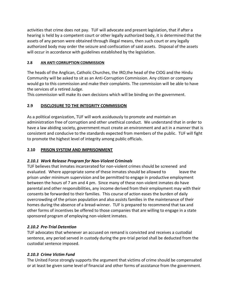activities that crime does not pay. TUF will advocate and present legislation, that if after a hearing is held by a competent court or other legally authorized body, it is determined that the assets of any person were obtained through illegal means, then such court or any legally authorized body may order the seizure and confiscation of said assets. Disposal of the assets will occur in accordance with guidelines established by the legislation.

#### **2.8 AN ANTI CORRUPTION COMMISSION**

The heads of the Anglican, Catholic Churches, the IRO,the head of the CIOG and the Hindu Community will be asked to sit as an Anti-Corruption Commission. Any citizen or company would go to this commission and make their complaints. The commission will be able to have the services of a retired Judge.

This commission will make its own decisions which will be binding on the government.

#### **2.9 DISCLOSURE TO THE INTEGRITY COMMISSION**

As a political organization, TUF will work assiduously to promote and maintain an administration free of corruption and other unethical conduct. We understand that in order to have a law abiding society, government must create an environment and act in a manner that is consistent and conducive to the standards expected from members of the public. TUF will fight to promote the highest level of integrity among public officials.

#### **2.10 PRISON SYSTEM AND IMPRISONMENT**

#### *2.10.1 Work Release Program for Non-Violent Criminals*

TUF believes that inmates incarcerated for non-violent crimes should be screened and evaluated. Where appropriate some of these inmates should be allowed to leave the prison under minimum supervision and be permitted to engage in productive employment between the hours of 7 am and 4 pm. Since many of these non-violent inmates do have parental and other responsibilities, any income derived from their employment may with their consents be forwarded to their families. This course of action eases the burden of daily overcrowding of the prison population and also assists families in the maintenance of their homes during the absence of a bread-winner. TUF is prepared to recommend that tax and other forms of incentives be offered to those companies that are willing to engage in a state sponsored program of employing non-violent inmates.

#### *2.10.2 Pre-Trial Detention*

TUF advocates that whenever an accused on remand is convicted and receives a custodial sentence, any period served in custody during the pre-trial period shall be deducted from the custodial sentence imposed.

#### *2.10.3 Crime Victim Fund*

The United Force strongly supports the argument that victims of crime should be compensated or at least be given some level of financial and other forms of assistance from the government.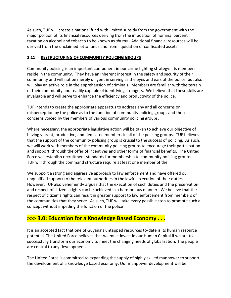As such, TUF will create a national fund with limited subsidy from the government with the major portion of its financial resources deriving from the imposition of nominal percent taxation on alcohol and tobacco to be known as *sin tax*. Additional financial resources will be derived from the unclaimed lotto funds and from liquidation of confiscated assets.

#### **2.11 RESTRUCTURING OF COMMUNITY POLICING GROUPS**

Community policing is an important component in our crime fighting strategy. Its members reside in the community. They have an inherent interest in the safety and security of their community and will not be merely diligent in serving as the eyes and ears of the police, but also will play an active role in the apprehension of criminals. Members are familiar with the terrain of their community and readily capable of identifying strangers. We believe that these skills are invaluable and will serve to enhance the efficiency and productivity of the police.

TUF intends to create the appropriate apparatus to address any and all concerns or misperception by the police as to the function of community policing groups and those concerns voiced by the members of various community policing groups.

Where necessary, the appropriate legislative action will be taken to achieve our objective of having vibrant, productive, and dedicated members in all of the policing groups. TUF believes that the support of the community policing group is crucial to the success of policing. As such, we will work with members of the community policing groups to encourage their participation and support, through the offer of incentives and other forms of financial benefits. The United Force will establish recruitment standards for membership to community policing groups. TUF will through the command structure require at least one member of the

We support a strong and aggressive approach to law enforcement and have offered our unqualified support to the relevant authorities in the lawful execution of their duties. However, TUF also vehemently argues that the execution of such duties and the preservation and respect of citizen's rights can be achieved in a harmonious manner. We believe that the respect of citizen's rights can result in greater support to law enforcement from members of the communities that they serve. As such, TUF will take every possible step to promote such a concept without impeding the function of the police

# **>>> 3.0: Education for a Knowledge Based Economy . . .**

It is an accepted fact that one of Guyana's untapped resources to-date is its human resource potential. The United Force believes that we must invest in our Human Capital if we are to successfully transform our economy to meet the changing needs of globalization. The people are central to any development.

The United Force is committed to expanding the supply of highly skilled manpower to support the development of a knowledge based economy. Our manpower development will be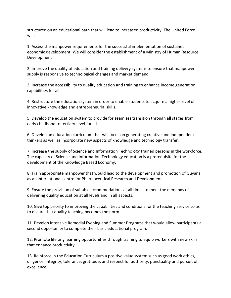structured on an educational path that will lead to increased productivity. The United Force will:

1. Assess the manpower requirements for the successful implementation of sustained economic development. We will consider the establishment of a Ministry of Human Resource Development

2. Improve the quality of education and training delivery systems to ensure that manpower supply is responsive to technological changes and market demand.

3. Increase the accessibility to quality education and training to enhance income generation capabilities for all.

4. Restructure the education system in order to enable students to acquire a higher level of innovative knowledge and entrepreneurial skills.

5. Develop the education system to provide for seamless transition through all stages from early childhood to tertiary-level for all.

6. Develop an education curriculum that will focus on generating creative and independent thinkers as well as incorporate new aspects of knowledge and technology transfer.

7. Increase the supply of Science and Information Technology trained persons in the workforce. The capacity of Science and Information Technology education is a prerequisite for the development of the Knowledge Based Economy.

8. Train appropriate manpower that would lead to the development and promotion of Guyana as an international centre for Pharmaceutical Research and Development.

9. Ensure the provision of suitable accommodations at all times to meet the demands of delivering quality education at all levels and in all aspects.

10. Give top priority to improving the capabilities and conditions for the teaching service so as to ensure that quality teaching becomes the norm.

11. Develop Intensive Remedial Evening and Summer Programs that would allow participants a second opportunity to complete their basic educational program.

12. Promote lifelong learning opportunities through training to equip workers with new skills that enhance productivity.

13. Reinforce in the Education Curriculum a positive value system such as good work ethics, diligence, integrity, tolerance, gratitude, and respect for authority, punctuality and pursuit of excellence.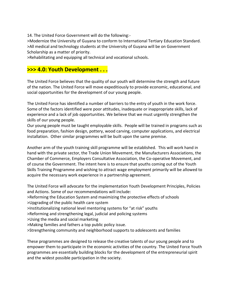14. The United Force Government will do the following:-

>Modernize the University of Guyana to conform to International Tertiary Education Standard. >All medical and technology students at the University of Guyana will be on Government Scholarship as a matter of priority.

>Rehabilitating and equipping all technical and vocational schools.

# **>>> 4.0: Youth Development . . .**

The United Force believes that the quality of our youth will determine the strength and future of the nation. The United Force will move expeditiously to provide economic, educational, and social opportunities for the development of our young people.

The United Force has identified a number of barriers to the entry of youth in the work force. Some of the factors identified were poor attitudes, inadequate or inappropriate skills, lack of experience and a lack of job opportunities. We believe that we must urgently strengthen the skills of our young people.

Our young people must be taught employable skills. People will be trained in programs such as food preparation, fashion design, pottery, wood carving, computer applications, and electrical installation. Other similar programmes will be built upon the same premise.

Another arm of the youth training skill programme will be established. This will work hand in hand with the private sector, the Trade Union Movement, the Manufacturers Associations, the Chamber of Commerce, Employers Consultative Association, the Co-operative Movement, and of course the Government. The intent here is to ensure that youths coming out of the Youth Skills Training Programme and wishing to attract wage employment primarily will be allowed to acquire the necessary work experience in a partnership agreement.

The United Force will advocate for the implementation Youth Development Principles, Policies and Actions. Some of our recommendations will include:

>Reforming the Education System and maximizing the protective effects of schools

>Upgrading of the public health care system

>Institutionalizing national level mentoring systems for "at risk" youths

>Reforming and strengthening legal, judicial and policing systems

>Using the media and social marketing

>Making families and fathers a top public policy issue.

>Strengthening community and neighborhood supports to adolescents and families

These programmes are designed to release the creative talents of our young people and to empower them to participate in the economic activities of the country. The United Force Youth programmes are essentially building blocks for the development of the entrepreneurial spirit and the widest possible participation in the society.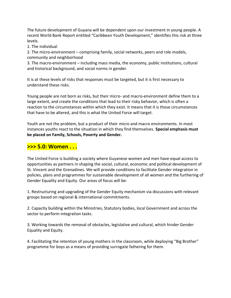The future development of Guyana will be dependent upon our investment in young people. A recent World Bank Report entitled "Caribbean Youth Development," identifies this risk at three levels.

1. The individual

2. The micro-environment – comprising family, social networks, peers and role models, community and neighborhood

3. The macro-environment – including mass media, the economy, public institutions, cultural and historical background, and social norms in gender.

It is at these levels of risks that responses must be targeted, but it is first necessary to understand these risks.

Young people are not born as risks, but their micro- and macro-environment define them to a large extent, and create the conditions that lead to their risky behavior, which is often a reaction to the circumstances within which they exist. It means that it is those circumstances that have to be altered, and this is what the United Force will target.

Youth are not the problem, but a product of their micro and macro environments. In most instances youths react to the situation in which they find themselves. **Special emphasis must be placed on Family, Schools, Poverty and Gender.**

# **>>> 5.0: Women . . .**

The United Force is building a society where Guyanese women and men have equal access to opportunities as partners in shaping the social, cultural, economic and political development of St. Vincent and the Grenadines. We will provide conditions to facilitate Gender integration in policies, plans and programmes for sustainable development of all women and the furthering of Gender Equality and Equity. Our areas of focus will be:

1. Restructuring and upgrading of the Gender Equity mechanism via discussions with relevant groups based on regional & international commitments.

2. Capacity building within the Ministries, Statutory bodies, local Government and across the sector to perform integration tasks.

3. Working towards the removal of obstacles, legislative and cultural, which hinder Gender Equality and Equity.

4. Facilitating the retention of young mothers in the classroom, while deploying "Big Brother" programme for boys as a means of providing surrogate fathering for them.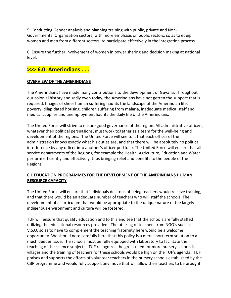5. Conducting Gender analysis and planning training with public, private and Non-Governmental Organization sectors, with more emphasis on public sectors, so as to equip women and men from different sectors, to participate effectively in the integration process.

6. Ensure the further involvement of women in power sharing and decision making at national level.

# **>>> 6.0: Amerindians . . .**

#### **OVERVIEW OF THE AMERINDIANS**

The Amerindians have made many contributions to the development of Guyana. Throughout our colonial history and sadly even today, the Amerindians have not gotten the support that is required. Images of sheer human suffering haunts the landscape of the Amerindian life, poverty, dilapidated housing, children suffering from malaria, inadequate medical staff and medical supplies and unemployment haunts the daily life of the Amerindians.

The United Force will strive to ensure good governance of the region. All administrative officers, whatever their political persuasions, must work together as a team for the well-being and development of the regions. The United Force will see to it that each officer of the administration knows exactly what his duties are, and that there will be absolutely no political interference by any officer into another's officer portfolio. The United Force will ensure that all service departments of the Regions, for example the Health, Agriculture, Education and Water perform efficiently and effectively, thus bringing relief and benefits to the people of the Regions.

#### **6.1 EDUCATION PROGRAMMES FOR THE DEVELOPMENT OF THE AMERINDIANS HUMAN RESOURCE CAPACITY**

The United Force will ensure that individuals desirous of being teachers would receive training, and that there would be an adequate number of teachers who will staff the schools. The development of a curriculum that would be appropriate to the unique nature of the largely indigenous environment and culture will be fostered.

TUF will ensure that quality education and to this end see that the schools are fully staffed utilizing the educational resources provided. The utilizing of teachers from NGO's such as V.S.O. so as to have to complement the teaching fraternity here would be a welcome opportunity. We should note carefully here that this policy is a mere short term solution to a much deeper issue. The schools must be fully equipped with laboratory to facilitate the teaching of the science subjects. TUF recognizes the great need for more nursery schools in villages and the training of teachers for these schools would be high on the TUF's agenda. TUF praises and supports the efforts of volunteer teachers in the nursery schools established by the CBR programme and would fully support any move that will allow their teachers to be brought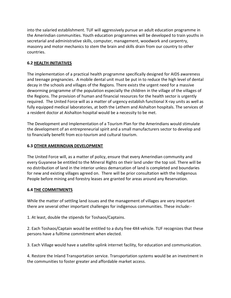into the salaried establishment. TUF will aggressively pursue an adult education programme in the Amerindian communities. Youth education programmes will be developed to train youths in secretarial and administrative skills, computer, management, woodwork and carpentry, masonry and motor mechanics to stem the brain and skills drain from our country to other countries.

#### **6.2 HEALTH INITIATIVES**

The implementation of a practical health programme specifically designed for AIDS awareness and teenage pregnancies. A mobile dental unit must be put in to reduce the high level of dental decay in the schools and villages of the Regions. There exists the urgent need for a massive deworming programme of the population especially the children in the village of the villages of the Regions. The provision of human and financial resources for the health sector is urgently required. The United Force will as a matter of urgency establish functional X-ray units as well as fully equipped medical laboratories, at both the Lethem and Aishalton hospitals. The services of a resident doctor at Aishalton hospital would be a necessity to be met.

The Development and Implementation of a Tourism Plan for the Amerindians would stimulate the development of an entrepreneurial spirit and a small manufacturers sector to develop and to financially benefit from eco-tourism and cultural tourism.

#### **6.3 OTHER AMERINDIAN DEVELOPMENT**

The United Force will, as a matter of policy, ensure that every Amerindian community and every Guyanese be entitled to the Mineral Rights on their land under the top soil. There will be no distribution of land in the interior unless demarcation of land is completed and boundaries for new and existing villages agreed on. There will be prior consultation with the Indigenous People before mining and forestry leases are granted for areas around any Reservation.

#### **6.4 THE COMMITMENTS**

While the matter of settling land issues and the management of villages are very important there are several other important challenges for indigenous communities. These include:-

1. At least, double the stipends for Toshaos/Captains.

2. Each Toshaos/Captain would be entitled to a duty free 4X4 vehicle. TUF recognizes that these persons have a fulltime commitment when elected.

3. Each Village would have a satellite uplink internet facility, for education and communication.

4. Restore the Inland Transportation service. Transportation systems would be an investment in the communities to foster greater and affordable market access.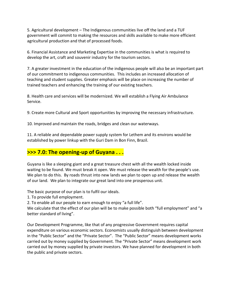5. Agricultural development – The Indigenous communities live off the land and a TUF government will commit to making the resources and skills available to make more efficient agricultural production and that of processed foods.

6. Financial Assistance and Marketing Expertise in the communities is what is required to develop the art, craft and souvenir industry for the tourism sectors.

7. A greater investment in the education of the indigenous people will also be an important part of our commitment to indigenous communities. This includes an increased allocation of teaching and student supplies. Greater emphasis will be place on increasing the number of trained teachers and enhancing the training of our existing teachers.

8. Health care and services will be modernized. We will establish a Flying Air Ambulance Service.

9. Create more Cultural and Sport opportunities by improving the necessary infrastructure.

10. Improved and maintain the roads, bridges and clean our waterways.

11. A reliable and dependable power supply system for Lethem and its environs would be established by power linkup with the Guri Dam in Bon Finn, Brazil.

# **>>> 7.0: The opening-up of Guyana . . .**

Guyana is like a sleeping giant and a great treasure chest with all the wealth locked inside waiting to be found. We must break it open. We must release the wealth for the people's use. We plan to do this. By roads thrust into new lands we plan to open up and release the wealth of our land. We plan to integrate our great land into one prosperous unit.

The basic purpose of our plan is to fulfil our ideals.

1. To provide full employment.

2. To enable all our people to earn enough to enjoy "a full life".

We calculate that the effect of our plan will be to make possible both "full employment" and "a better standard of living".

Our Development Programme, like that of any progressive Government requires capital expenditure on various economic sectors. Economists usually distinguish between development in the "Public Sector" and the "Private Sector". The "Public Sector" means development works carried out by money supplied by Government. The "Private Sector" means development work carried out by money supplied by private investors. We have planned for development in both the public and private sectors.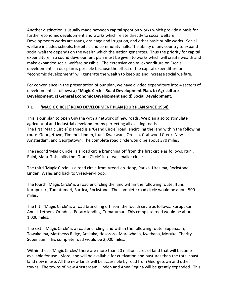Another distinction is usually made between capital spent on works which provide a basis for further economic development and works which relate directly to social welfare. Developments works are roads, drainage and irrigation, and other basic public works. Social welfare includes schools, hospitals and community halls. The ability of any country to expand social welfare depends on the wealth which the nation generates. Thus the priority for capital expenditure in a sound development plan must be given to works which will create wealth and make expanded social welfare possible. The extensive capital expenditure on "social development" in our plan is possible because the effect of the capital expenditure on "economic development" will generate the wealth to keep up and increase social welfare.

For convenience in the presentation of our plan, we have divided expenditure into 4 sectors of development as follows: **a) "Magic Circle" Road Development Plan, b) Agriculture Development, c) General Economic Development and d) Social Development.**

#### **7.1 'MAGIC CIRCLE' ROAD DEVELOPMENT PLAN (OUR PLAN SINCE 1964)**

This is our plan to open Guyana with a network of new roads: We plan also to stimulate agricultural and industrial development by perfecting all existing roads. The first 'Magic Circle' planned is a 'Grand Circle' road, encircling the land within the following route: Georgetown, Timehri, Linden, Ituni, Kwakwani, Orealla, Crabwood Creek, New Amsterdam, and Georgetown. The complete road circle would be about 370 miles.

The second 'Magic Circle' is a road circle branching off from the first circle as follows: Ituni, Ebini, Mara. This splits the 'Grand Circle' into two smaller circles.

The third 'Magic Circle' is a road circle from Vreed-en-Hoop, Parika, Uresima, Rockstone, Linden, Wales and back to Vreed-en-Hoop.

The fourth 'Magic Circle' is a road encircling the land within the following route: Ituni, Kurupukari, Tumatumari, Bartica, Rockstone. The complete road circle would be about 500 miles.

The fifth 'Magic Circle' is a road branching off from the fourth circle as follows: Kurupukari, Annai, Lethem, Orinduik, Potaro landing, Tumatumari. This complete road would be about 1,000 miles.

The sixth 'Magic Circle' is a road encircling land within the following route: Supenaam, Towakaima, Matthews Ridge, Arakaka, Hosororo, Marawhana, Kwebana, Moruka, Charity, Supenaam. This complete road would be 2,000 miles.

Within these 'Magic Circles' there are more than 20 million acres of land that will become available for use. More land will be available for cultivation and pastures than the total coast land now in use. All the new lands will be accessible by road from Georgetown and other towns. The towns of New Amsterdam, Linden and Anna Regina will be greatly expanded. This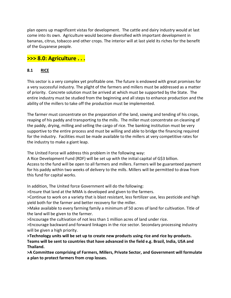plan opens up magnificent vistas for development. The cattle and dairy industry would at last come into its own. Agriculture would become diversified with important development in bananas, citrus, tobacco and other crops. The interior will at last yield its riches for the benefit of the Guyanese people.

# **>>> 8.0: Agriculture . . .**

#### **8.1 RICE**

This sector is a very complex yet profitable one. The future is endowed with great promises for a very successful industry. The plight of the farmers and millers must be addressed as a matter of priority. Concrete solution must be arrived at which must be supported by the State. The entire industry must be studied from the beginning and all steps to enhance production and the ability of the millers to take off the production must be implemented.

The farmer must concentrate on the preparation of the land, sowing and tending of his crops, reaping of his paddy and transporting to the mills. The miller must concentrate on cleaning of the paddy, drying, milling and selling the cargo of rice. The banking institution must be very supportive to the entire process and must be willing and able to bridge the financing required for the industry. Facilities must be made available to the millers at very competitive rates for the industry to make a giant leap.

The United Force will address this problem in the following way:

A Rice Development Fund (RDF) will be set up with the initial capital of G\$3 billion. Access to the fund will be open to all farmers and millers. Farmers will be guaranteed payment for his paddy within two weeks of delivery to the mills. Millers will be permitted to draw from this fund for capital works.

In addition, The United force Government will do the following:

>Ensure that land at the MMA is developed and given to the farmers.

>Continue to work on a variety that is blast resistant, less fertilizer use, less pesticide and high yield both for the farmer and better recovery for the miller.

>Make available to every farming family a minimum of 50 acres of land for cultivation. Title of the land will be given to the farmer.

>Encourage the cultivation of not less than 1 million acres of land under rice.

>Encourage backward and forward linkages in the rice sector. Secondary processing industry will be given a high priority.

**>Technology units will be set up to create new products using rice and rice by-products. Teams will be sent to countries that have advanced in the field e.g. Brazil, India, USA and Thailand.**

**>A Committee comprising of Farmers, Millers, Private Sector, and Government will formulate a plan to protect farmers from crop losses.**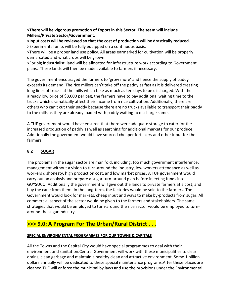#### **>There will be vigorous promotion of Export in this Sector. The team will include Millers/Private Sector/Government.**

**>Input costs will be reviewed so that the cost of production will be drastically reduced.** >Experimental units will be fully equipped on a continuous basis.

>There will be a proper land use policy. All areas earmarked for cultivation will be properly demarcated and what crops will be grown.

>For big industrialist, land will be allocated for infrastructure work according to Government plans. These lands will then be made available to farmers if necessary.

The government encouraged the farmers to 'grow more' and hence the supply of paddy exceeds its demand. The rice millers can't take off the paddy as fast as it is delivered creating long lines of trucks at the mills which take as much as ten days to be discharged. With the already low price of \$3,000 per bag, the farmers have to pay additional waiting time to the trucks which dramatically affect their income from rice cultivation. Additionally, there are others who can't cut their paddy because there are no trucks available to transport their paddy to the mills as they are already loaded with paddy waiting to discharge same.

A TUF government would have ensured that there were adequate storage to cater for the increased production of paddy as well as searching for additional markets for our produce. Additionally the government would have sourced cheaper fertilizers and other input for the farmers.

#### **8.2 SUGAR**

The problems in the sugar sector are manifold, including: too much government interference, management without a vision to turn-around the industry, low workers attendance as well as workers dishonesty, high production cost, and low market prices. A TUF government would carry out an analysis and prepare a sugar turn-around plan before injecting funds into GUYSUCO. Additionally the government will give out the lands to private farmers at a cost, and buy the cane from them. In the long-term, the factories would be sold to the farmers. The Government would look for markets, cheap input and ways to make by-products from sugar. All commercial aspect of the sector would be given to the farmers and stakeholders. The same strategies that would be employed to turn-around the rice sector would be employed to turnaround the sugar industry.

# **>>> 9.0: A Program For The Urban/Rural District . . .**

#### **SPECIAL ENVIRONMENTAL PROGRAMMES FOR OUR TOWNS & CAPITALS**

All the Towns and the Capital City would have special programmes to deal with their environment and sanitation.Central Government will work with these municipalities to clear drains, clean garbage and maintain a healthy clean and attractive environment. Some 1 billion dollars annually will be dedicated to these special maintenance programs.After these places are cleaned TUF will enforce the municipal by laws and use the provisions under the Environmental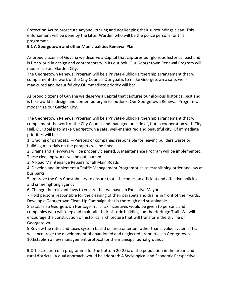Protection Act to prosecute anyone littering and not keeping their surroundings clean. This enforcement will be done by the Litter Warden who will be the police persons for this programme.

#### **9.1 A Georgetown and other Municipalities Renewal Plan**

As proud citizens of Guyana we deserve a Capital that captures our glorious historical past and is first world in design and contemporary in its outlook. Our Georgetown Renewal Program will modernize our Garden City.

The Georgetown Renewal Program will be a Private-Public Partnership arrangement that will complement the work of the City Council. Our goal is to make Georgetown a safe, wellmanicured and beautiful city.Of immediate priority will be:

As proud citizens of Guyana we deserve a Capital that captures our glorious historical past and is first-world in design and contemporary in its outlook. Our Georgetown Renewal Program will modernize our Garden City.

The Georgetown Renewal Program will be a Private-Public Partnership arrangement that will complement the work of the City Council and managed outside of, but in cooperation with City Hall. Our goal is to make Georgetown a safe, well-manicured and beautiful city. Of immediate priorities will be:

1. Grading of parapets. – Persons or companies responsible for leaving builders waste or building materials on the parapets will be fined.

2. Drains and alleyways will be properly cleaned. A Maintenance Program will be implemented. These cleaning works will be outsourced.

3. A Road Maintenance Repairs for all Main Roads

4. Develop and Implement a Traffic Management Program such as establishing order and law at bus parks.

5. Improve the City Constabulary to ensure that it becomes an efficient and effective policing and crime fighting agency.

6. Change the relevant laws to ensure that we have an Executive Mayor.

7.Hold persons responsible for the cleaning of their parapets and drains in front of their yards. Develop a Georgetown Clean-Up Campaign that is thorough and sustainable.

8.Establish a Georgetown Heritage Trail. Tax incentives would be given to persons and companies who will keep and maintain their historic buildings on the Heritage Trail. We will encourage the construction of historical architecture that will transform the skyline of Georgetown.

9.Review the rates and taxes system based on area criterion rather than a value system. This will encourage the development of abandoned and neglected proprieties in Georgetown. 10.Establish a new management protocol for the municipal burial grounds.

**9.2**The creation of a programme for the bottom 20-25% of the population in the urban and rural districts. A dual approach would be adopted: A Sociological and Economic Perspective.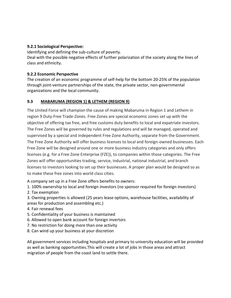#### **9.2.1 Sociological Perspective:**

Identifying and defining the sub-culture of poverty. Deal with the possible negative effects of further polarization of the society along the lines of class and ethnicity.

#### **9.2.2 Economic Perspective**

The creation of an economic programme of self-help for the bottom 20-25% of the population through joint-venture partnerships of the state, the private sector, non-governmental organizations and the local community.

#### **9.3 MABARUMA (REGION 1) & LETHEM (REGION 9)**

The United Force will champion the cause of making Mabaruma in Region 1 and Lethem in region 9 Duty-Free Trade-Zones. Free Zones are special economic zones set up with the objective of offering tax free, and free customs duty benefits to local and expatriate investors. The Free Zones will be governed by rules and regulations and will be managed, operated and supervised by a special and independent Free Zone Authority, separate from the Government. The Free Zone Authority will offer business licenses to local and foreign-owned businesses. Each Free Zone will be designed around one or more business industry categories and only offers licenses (e.g. for a Free Zone Enterprise (FZE)), to companies within those categories. The Free Zones will offer opportunities trading, service, industrial, national industrial, and branch licenses to investors looking to set up their businesses. A proper plan would be designed so as to make these free zones into world class cities.

A company set up in a Free Zone offers benefits to owners:

- 1. 100% ownership to local and foreign investors (no sponsor required for foreign investors)
- 2. Tax exemption
- 3. Owning properties is allowed (25 years lease options, warehouse facilities, availability of areas for production and assembling etc.)
- 4. Fair renewal fees
- 5. Confidentiality of your business is maintained
- 6. Allowed to open bank account for foreign invertors
- 7. No restriction for doing more than one activity
- 8. Can wind up your business at your discretion

All government services including hospitals and primary to university education will be provided as well as banking opportunities.This will create a lot of jobs in those areas and attract migration of people from the coast land to settle there.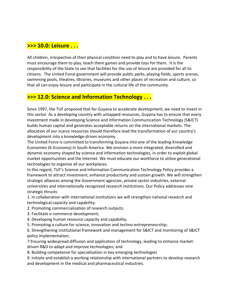## **>>> 10.0: Leisure . . .**

All children, irrespective of their physical condition need to play and to have leisure. Parents must encourage them to play, teach them games and provide toys for them. It is the responsibility of the State to see that facilities for the use of leisure are provided for all its citizens. The United Force government will provide public parks, playing fields, sports arenas, swimming pools, theatres, libraries, museums and other places of recreation and culture, so that all can enjoy leisure and participate in the cultural life of the community.

# **>>> 12.0: Science and Information Technology . . .**

Since 1997, the TUF proposed that for Guyana to accelerate development, we need to invest in this sector. As a developing country with untapped resources, Guyana has to ensure that every investment made in developing Science and Information Communication Technology (S&ICT) builds human capital and generates acceptable returns on the international markets. The allocation of our scarce resources should therefore lead the transformation of our country's development into a knowledge-driven economy.

The United Force is committed to transforming Guyana into one of the leading Knowledge Economies (K-Economy) in South America. We envision a more integrated, diversified and dynamic economy shaped by science and information technologies, in order to exploit global market opportunities and the Internet. We must educate our workforce to utilize generational technologies to organise all our workplaces.

In this regard, TUF's Science and Information Communication Technology Policy provides a framework to attract investment, enhance productivity and sustain growth. We will strengthen strategic alliances among the Government agencies, private sector industries, external universities and internationally recognized research institutions. Our Policy addresses nine strategic thrusts:

1. In collaboration with international institutions we will strengthen national research and technological capacity and capability;

- 2. Promoting commercialisation of research outputs;
- 3. Facilitate e-commerce development;
- 4. Developing human resource capacity and capability;
- 5. Promoting a culture for science, innovation and techno-entrepreneurship;

6. Strengthening institutional framework and management for S&ICT and monitoring of S&ICT policy implementation;

7 Ensuring widespread diffusion and application of technology, leading to enhance marketdriven R&D to adapt and improve technologies; and

8. Building competence for specialisation in key emerging technologies

9. Initiate and establish a working relationship with international partners to develop research and development in the medical and pharmaceutical industries.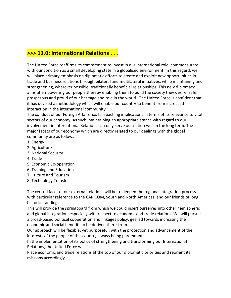# **>>> 13.0: International Relations . . .**

The United Force reaffirms its commitment to invest in our international role, commensurate with our condition as a small developing state in a globalised environment. In this regard, we will place primary emphasis on diplomatic efforts to create and exploit new opportunities in trade and business relations through bilateral and multilateral initiatives, while maintaining and strengthening, wherever possible, traditionally beneficial relationships. This new diplomacy aims at empowering our people thereby enabling them to build the society they desire; safe, prosperous and proud of our heritage and role in the world. The United Force is confident that it has devised a methodology which will enable our country to benefit from increased interaction in the international community.

The conduct of our Foreign Affairs has far reaching implications in terms of its relevance to vital sectors of our economy. As such, maintaining an appropriate stance with regard to our involvement in International Relations can only serve our nation well in the long term. The major facets of our economy which are directly related to our dealings with the global community are as follows:

- 1. Energy
- 2. Agriculture
- 3. National Security
- 4. Trade
- 5. Economic Co-operation
- 6. Training and Education
- 7. Culture and Tourism
- 8. Technology Transfer

The central facet of our external relations will be to deepen the regional integration process with particular reference to the CARICOM, South and North Americas, and our friends of long historic standings.

This will provide the springboard from which we could insert ourselves into other hemispheric and global integration, especially with respect to economic and trade relations. We will pursue a broad-based political cooperation and linkages policy, geared towards increasing the economic and social benefits to be derived there-from.

Our approach will be flexible, yet purposeful, with the protection and advancement of the interests of the people of this country always being paramount.

In the implementation of its policy of strengthening and transforming our International Relations, the United Force will:

Place economic and trade relations at the top of our diplomatic priorities and reorient its missions accordingly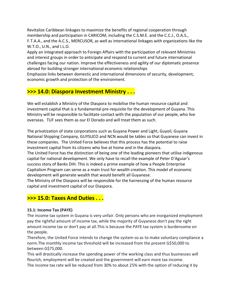Revitalize Caribbean linkages to maximize the benefits of regional cooperation through membership and participation in CARICOM, including the C.S.M.E. and the C.C.J., O.A.S., F.T.A.A., and the A.C.S., MERCUSOR, as well as international linkages with organizations like the W.T.O., U.N., and I.L.O.

Apply an integrated approach to Foreign Affairs with the participation of relevant Ministries and interest groups in order to anticipate and respond to current and future international challenges facing our nation. Improve the effectiveness and agility of our diplomatic presence abroad for building stronger international economic relationships

Emphasize links between domestic and international dimensions of security, development, economic growth and protection of the environment.

# **>>> 14.0: Diaspora Investment Ministry . . .**

We will establish a Ministry of the Diaspora to mobilise the human resource capital and investment capital that is a fundamental pre-requisite for the development of Guyana. This Ministry will be responsible to facilitate contact with the population of our people, who live overseas. TUF sees them as our El Dorado and will treat them as such.

The privatization of state corporations such as Guyana Power and Light, Guyoil, Guyana National Shipping Company, GUYSUCO and NCN would be tables so that Guyanese can invest in these companies. The United Force believes that this process has the potential to raise investment capital from its citizens who live at home and in the diaspora.

The United Force has the distinction of being one of the leading pioneers that utilise indigenous capital for national development. We only have to recall the example of Peter D'Aguiar's success story of Banks DIH. This is indeed a prime example of how a People Enterprise Capitalism Program can serve as a main trust for wealth creation. This model of economic development will generate wealth that would benefit all Guyanese.

The Ministry of the Diaspora will be responsible for the harnessing of the human resource capital and investment capital of our Diaspora.

# **>>> 15.0: Taxes And Duties . . .**

#### **15.1: Income Tax (PAYE)**

The income tax system in Guyana is very unfair. Only persons who are inorganized employment pay the rightful amount of income tax, while the majority of Guyanese don't pay the right amount income tax or don't pay at all.This is because the PAYE tax system is burdensome on the people.

Therefore, the United Force intends to change the system so as to make voluntary compliance a norm.The monthly income tax threshold will be increased from the present G\$50,000 to between G\$75,000.

This will drastically increase the spending power of the working class and thus businesses will flourish, employment will be created and the government will earn more tax income. The income tax rate will be reduced from 30% to about 25% with the option of reducing it by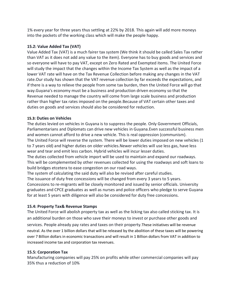1% every year for three years thus settling at 22% by 2018. This again will add more moneys into the pockets of the working class which will make the people happy.

#### **15.2: Value Added Tax (VAT)**

Value Added Tax (VAT) is a much fairer tax system (We think it should be called Sales Tax rather than VAT as it does not add any value to the item). Everyone has to buy goods and services and so everyone will have to pay VAT, except on Zero Rated and Exempted items. The United Force will study the impact that the changes within the Income Tax System as well as the impact of a lower VAT rate will have on the Tax Revenue Collection before making any changes in the VAT rate.Our study has shown that the VAT revenue collection by far exceeds the expectations, and if there is a way to relieve the people from some tax burden, then the United Force will go that way.Guyana's economy must be a business and production driven economy so that the Revenue needed to manage the country will come from large scale business and production rather than higher tax rates imposed on the people.Because of VAT certain other taxes and duties on goods and services should also be considered for reduction.

#### **15.3: Duties on Vehicles**

The duties levied on vehicles in Guyana is to suppress the people. Only Government Officials, Parliamentarians and Diplomats can drive new vehicles in Guyana.Even successful business men and women cannot afford to drive a new vehicle. This is real oppression (communism). The United Force will reverse the system. There will be lower duties imposed on new vehicles (1 to 7 years old) and higher duties on older vehicles.Newer vehicles will use less gas, have less wear and tear and emit less carbon. Hybrid vehicles will incur lesser duties.

The duties collected from vehicle import will be used to maintain and expand our roadways. This will be complemented by other revenues collected for using the roadways and soft loans to build bridges etcetera to ease congestion on our road ways.

The system of calculating the said duty will also be revised after careful studies. The issuance of duty free concessions will be changed from every 3 years to 5 years. Concessions to re-migrants will be closely monitored and issued by senior officials. University graduates and CPCE graduates as well as nurses and police officers who pledge to serve Guyana for at least 5 years with diligence will also be considered for duty free concessions.

#### **15.4: Property Tax& Revenue Stamps**

The United Force will abolish property tax as well as the licking tax also called sticking tax. It is an additional burden on those who save their moneys to invest or purchase other goods and services. People already pay rates and taxes on their property.These initiatives will be revenue neutral. As the over 1 billion dollars that will be released by the abolition of these taxes will be powering over 7 Billion dollars in economic transactions and will result in 1 Billion dollars from VAT in addition to increased income tax and corporation tax revenues.

#### **15.5: Corporation Tax**

Manufacturing companies will pay 25% on profits while other commercial companies will pay 35% thus a reduction of 10%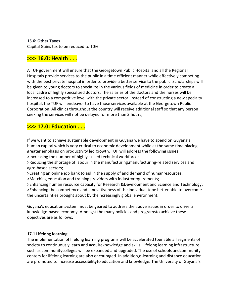**15.6: Other Taxes**

Capital Gains tax to be reduced to 10%

# **>>> 16.0: Health . . .**

A TUF government will ensure that the Georgetown Public Hospital and all the Regional Hospitals provide services to the public in a time efficient manner while effectively competing with the best private hospital in order to provide a better service to the public. Scholarships will be given to young doctors to specialize in the various fields of medicine in order to create a local cadre of highly specialized doctors. The salaries of the doctors and the nurses will be increased to a competitive level with the private sector. Instead of constructing a new specialty hospital, the TUF will endeavor to have those services available at the Georgetown Public Corporation. All clinics throughout the country will receive additional staff so that any person seeking the services will not be delayed for more than 3 hours,

## **>>> 17.0: Education . . .**

If we want to achieve sustainable development in Guyana we have to spend on Guyana's human capital which is very critical to economic development while at the same time placing greater emphasis on productivity led growth. TUF will address the following issues: >Increasing the number of highly skilled technical workforce;

>Reducing the shortage of labour in the manufacturing,manufacturing-related services and agro-based sectors;

>Creating an online job bank to aid in the supply of and demand of humanresources; >Matching education and training providers with industryrequirements;

>Enhancing human resource capacity for Research &Development and Science and Technology; >Enhancing the competence and innovativeness of the individual tobe better able to overcome the uncertainties brought about by theincreasingly global environment.

Guyana's education system must be geared to address the above issues in order to drive a knowledge-based economy. Amongst the many policies and programsto achieve these objectives are as follows:

#### **17.1 Lifelong learning**

The implementation of lifelong learning programs will be accelerated toenable all segments of society to continuously learn and acquireknowledge and skills. Lifelong learning infrastructure such as communitycolleges will be expanded and upgraded. The use of schools andcommunity centers for lifelong learning are also encouraged. In addition,e-learning and distance education are promoted to increase accessibilityto education and knowledge. The University of Guyana's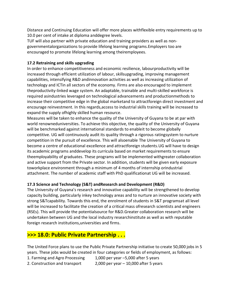Distance and Continuing Education will offer more places withflexible entry requirements up to 10.0 per cent of intake at diploma anddegree levels.

TUF will also partner with private education and training providers as well as nongovernmentalorganizations to provide lifelong learning programs.Employers too are encouraged to promote lifelong learning among theiremployees.

#### **17.2 Retraining and skills upgrading**

In order to enhance competitiveness and economic resilience, labourproductivity will be increased through efficient utilization of labour, skillsupgrading, improving management capabilities, intensifying R&D andinnovation activities as well as increasing utilization of technology and ICTin all sectors of the economy. Firms are also encouraged to implement theproductivity-linked wage system. An adaptable, trainable and multi-skilled workforce is required asindustries leveraged on technological advancements and productionmethods to increase their competitive edge in the global marketand to attractforeign direct investment and encourage reinvestment. In this regards,access to industrial skills training will be increased to expand the supply ofhighly skilled human resource.

Measures will be taken to enhance the quality of the University of Guyana to be at par with world renowneduniversities. To achieve this objective, the quality of the University of Guyana will be benchmarked against international standards to enableit to become globally competitive. UG will continuously audit its quality through a rigorous ratingsystem to nurture competition in the pursuit of excellence. This will alsoenable The University of Guyana to become a centre of educational excellence and attractforeign students.UG will have to design its academic programs anddevelop its curricula based on market requirements to ensure theemployability of graduates. These programs will be implemented withgreater collaboration and active support from the Private sector. In addition, students will be given early exposure toworkplace environment through a minimum of 4 months of internship orindustrial attachment. The number of academic staff with PhD qualificationat UG will be increased.

#### **17.3 Science and Technology (S&T) andResearch and Development (R&D)**

The University of Guyana's research and innovative capability will be strengthened to develop capacity building, particularly inkey technology areas and to nurture an innovative society with strong S&Tcapability. Towards this end, the enrolment of students in S&T programsat all level will be increased to facilitate the creation of a critical mass ofresearch scientists and engineers (RSEs). This will provide the potentialsource for R&D.Greater collaboration research will be undertaken between UG and the local industry researchinstitute as well as with reputable foreign research institutions,universities and firms.

## **>>> 18.0: Public Private Partnership . . .**

The United Force plans to use the Public Private Partnership initiative to create 50,000 jobs in 5 years. These jobs would be created in four categories or fields of employment, as follows:

1. Farming and Agro Processing 1,000 per year –5,000 after 5 years

2. Construction and transport 2,000 per year – 10,000 after 5 years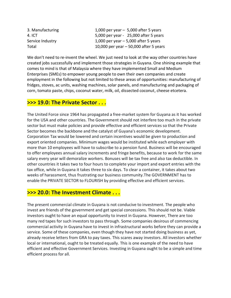| 3. Manufacturing | 1,000 per year $-5,000$ after 5 years   |
|------------------|-----------------------------------------|
| 4. ICT           | 5,000 per year - 25,000 after 5 years   |
| Service Industry | 1,000 per year $-$ 5,000 after 5 years  |
| Total            | 10,000 per year $-50,000$ after 5 years |

We don't need to re-invent the wheel. We just need to look at the way other countries have created jobs successfully and implement those strategies in Guyana. One shining example that comes to mind is that of Malaysia where they have implemented Small and Medium Enterprises (SMEs) to empower young people to own their own companies and create employment in the following but not limited to these areas of opportunities: manufacturing of fridges, stoves, ac units, washing machines, solar panels, and manufacturing and packaging of corn, tomato paste, chips, coconut water, milk, oil, dissected coconut, cheese etcetera.

## **>>> 19.0: The Private Sector . . .**

The United Force since 1964 has propagated a free-market system for Guyana as it has worked for the USA and other countries. The Government should not interfere too much in the private sector but must make policies and provide effective and efficient services so that the Private Sector becomes the backbone and the catalyst of Guyana's economic development. Corporation Tax would be lowered and certain incentives would be given to production and export oriented companies. Minimum wages would be instituted while each employer with more than 10 employees will have to subscribe to a pension fund. Business will be encouraged to offer employees annual salary increments and fringe benefits, because to work for the same salary every year will demoralize workers. Bonuses will be tax free and also tax deductible. In other countries it takes two to four hours to complete your import and export entries with the tax office, while in Guyana it takes three to six days. To clear a container, it takes about two weeks of harassment, thus frustrating our business community.The GOVERNMENT has to enable the PRIVATE SECTOR to FLOURISH by providing effective and efficient services.

## **>>> 20.0: The Investment Climate . . .**

The present commercial climate in Guyana is not conducive to investment. The people who invest are friends of the government and get special concessions. This should not be. Viable investors ought to have an equal opportunity to invest in Guyana. However, There are too many red tapes for such investors to pass through. Some companies desirous of commencing commercial activity in Guyana have to invest in infrastructural works before they can provide a service. Some of these companies, even though they have not started doing business as yet, already receive letters from GRA to pay taxes. This scares away investors. All investors whether local or international, ought to be treated equally. This is one example of the need to have efficient and effective Government Services. Investing in Guyana ought to be a simple and time efficient process for all.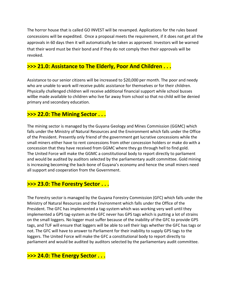The horror house that is called GO INVEST will be revamped. Applications for the rules based concessions will be expedited. Once a proposal meets the requirement, if it does not get all the approvals in 60 days then it will automatically be taken as approved. Investors will be warned that their word must be their bond and if they do not comply then their approvals will be revoked.

## **>>> 21.0: Assistance to The Elderly, Poor And Children . . .**

Assistance to our senior citizens will be increased to \$20,000 per month. The poor and needy who are unable to work will receive public assistance for themselves or for their children. Physically challenged children will receive additional financial support while school busses willbe made available to children who live far away from school so that no child will be denied primary and secondary education.

## **>>> 22.0: The Mining Sector . . .**

The mining sector is managed by the Guyana Geology and Mines Commission (GGMC) which falls under the Ministry of Natural Resources and the Environment which falls under the Office of the President. Presently only friend of the government get lucrative concessions while the small miners either have to rent concessions from other concession holders or make do with a concession that they have received from GGMC where they go through hell to find gold. The United Force will make the GGMC a constitutional body to report directly to parliament and would be audited by auditors selected by the parliamentary audit committee. Gold mining is increasing becoming the back-bone of Guyana's economy and hence the small miners need all support and cooperation from the Government.

## **>>> 23.0: The Forestry Sector . . .**

The Forestry sector is managed by the Guyana Forestry Commission (GFC) which falls under the Ministry of Natural Resources and the Environment which falls under the Office of the President. The GFC has implemented a tag-system which was working very well until they implemented a GPS tag-system as the GFC never has GPS tags which is putting a lot of strains on the small loggers. No logger must suffer because of the inability of the GFC to provide GPS tags, and TUF will ensure that loggers will be able to sell their logs whether the GFC has tags or not. The GFC will have to answer to Parliament for their inability to supply GPS tags to the loggers. The United Force will make the GFC a constitutional body to report directly to parliament and would be audited by auditors selected by the parliamentary audit committee.

# **>>> 24.0: The Energy Sector . . .**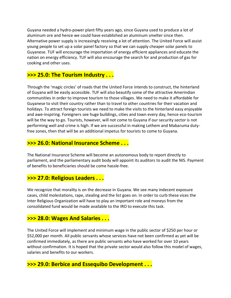Guyana needed a hydro-power plant fifty years ago, since Guyana used to produce a lot of aluminum ore and hence we could have established an aluminum smelter since then. Alternative power supply is increasingly receiving a lot of attention. The United Force will assist young people to set up a solar panel factory so that we can supply cheaper solar panels to Guyanese. TUF will encourage the importation of energy efficient appliances and educate the nation on energy efficiency. TUF will also encourage the search for and production of gas for cooking and other uses.

# **>>> 25.0: The Tourism Industry . . .**

Through the 'magic circles' of roads that the United Force intends to construct, the hinterland of Guyana will be easily accessible. TUF will also beautify some of the attractive Amerindian communities in order to improve tourism to those villages. We need to make it affordable for Guyanese to visit their country rather than to travel to other countries for their vacation and holidays. To attract foreign tourists we need to make the visits to the hinterland easy enjoyable and awe-inspiring. Foreigners see huge buildings, cities and town every day, hence eco-tourism will be the way to go. Tourists, however, will not come to Guyana if our security sector is not performing well and crime is high. If we are successful in making Lethem and Mabaruma dutyfree zones, then that will be an additional impetus for tourists to come to Guyana.

## **>>> 26.0: National Insurance Scheme . . .**

The National Insurance Scheme will become an autonomous body to report directly to parliament, and the parliamentary audit body will appoint its auditors to audit the NIS. Payment of benefits to beneficiaries should be come hassle-free.

## **>>> 27.0: Religious Leaders . . .**

We recognize that morality is on the decrease in Guyana. We see many indecent exposure cases, child molestations, rape, stealing and the list goes on. In order to curb these vices the Inter Religious Organization will have to play an important role and moneys from the consolidated fund would be made available to the IRO to execute this task.

# **>>> 28.0: Wages And Salaries . . .**

The United Force will implement and minimum wage in the public sector of \$250 per hour or \$52,000 per month. All public servants whose services have not been confirmed as yet will be confirmed immediately, as there are public servants who have worked for over 10 years without confirmation. It is hoped that the private sector would also follow this model of wages, salaries and benefits to our workers.

# **>>> 29.0: Berbice and Essequibo Development . . .**